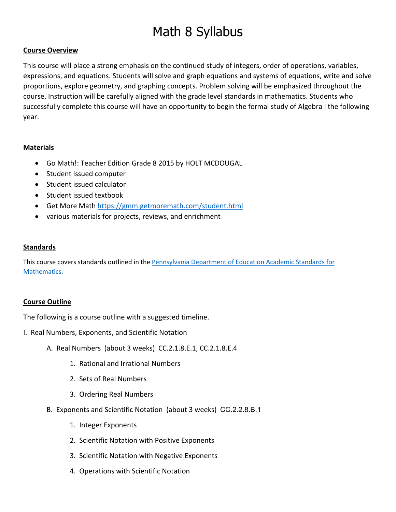# Math 8 Syllabus

## **Course Overview**

This course will place a strong emphasis on the continued study of integers, order of operations, variables, expressions, and equations. Students will solve and graph equations and systems of equations, write and solve proportions, explore geometry, and graphing concepts. Problem solving will be emphasized throughout the course. Instruction will be carefully aligned with the grade level standards in mathematics. Students who successfully complete this course will have an opportunity to begin the formal study of Algebra I the following year.

## **Materials**

- Go Math!: Teacher Edition Grade 8 2015 by HOLT MCDOUGAL
- Student issued computer
- Student issued calculator
- Student issued textbook
- Get More Math <https://gmm.getmoremath.com/student.html>
- various materials for projects, reviews, and enrichment

## **Standards**

This course covers standards outlined in the Pennsylvania Department of Education Academic Standards for Mathematics.

#### **Course Outline**

The following is a course outline with a suggested timeline.

- I. Real Numbers, Exponents, and Scientific Notation
	- A. Real Numbers (about 3 weeks) CC.2.1.8.E.1, CC.2.1.8.E.4
		- 1. Rational and Irrational Numbers
		- 2. Sets of Real Numbers
		- 3. Ordering Real Numbers
	- B. Exponents and Scientific Notation (about 3 weeks) CC.2.2.8.B.1
		- 1. Integer Exponents
		- 2. Scientific Notation with Positive Exponents
		- 3. Scientific Notation with Negative Exponents
		- 4. Operations with Scientific Notation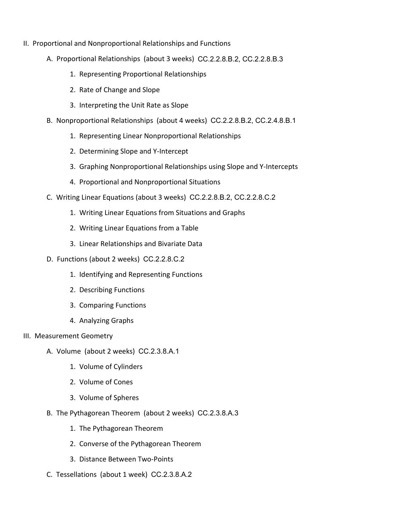- II. Proportional and Nonproportional Relationships and Functions
	- A. Proportional Relationships (about 3 weeks) CC.2.2.8.B.2, CC.2.2.8.B.3
		- 1. Representing Proportional Relationships
		- 2. Rate of Change and Slope
		- 3. Interpreting the Unit Rate as Slope
	- B. Nonproportional Relationships (about 4 weeks) CC.2.2.8.B.2, CC.2.4.8.B.1
		- 1. Representing Linear Nonproportional Relationships
		- 2. Determining Slope and Y-Intercept
		- 3. Graphing Nonproportional Relationships using Slope and Y-Intercepts
		- 4. Proportional and Nonproportional Situations
	- C. Writing Linear Equations (about 3 weeks) CC.2.2.8.B.2, CC.2.2.8.C.2
		- 1. Writing Linear Equations from Situations and Graphs
		- 2. Writing Linear Equations from a Table
		- 3. Linear Relationships and Bivariate Data
	- D. Functions (about 2 weeks) CC.2.2.8.C.2
		- 1. Identifying and Representing Functions
		- 2. Describing Functions
		- 3. Comparing Functions
		- 4. Analyzing Graphs
- III. Measurement Geometry
	- A. Volume (about 2 weeks) CC.2.3.8.A.1
		- 1. Volume of Cylinders
		- 2. Volume of Cones
		- 3. Volume of Spheres
	- B. The Pythagorean Theorem (about 2 weeks) CC.2.3.8.A.3
		- 1. The Pythagorean Theorem
		- 2. Converse of the Pythagorean Theorem
		- 3. Distance Between Two-Points
	- C. Tessellations (about 1 week) CC.2.3.8.A.2